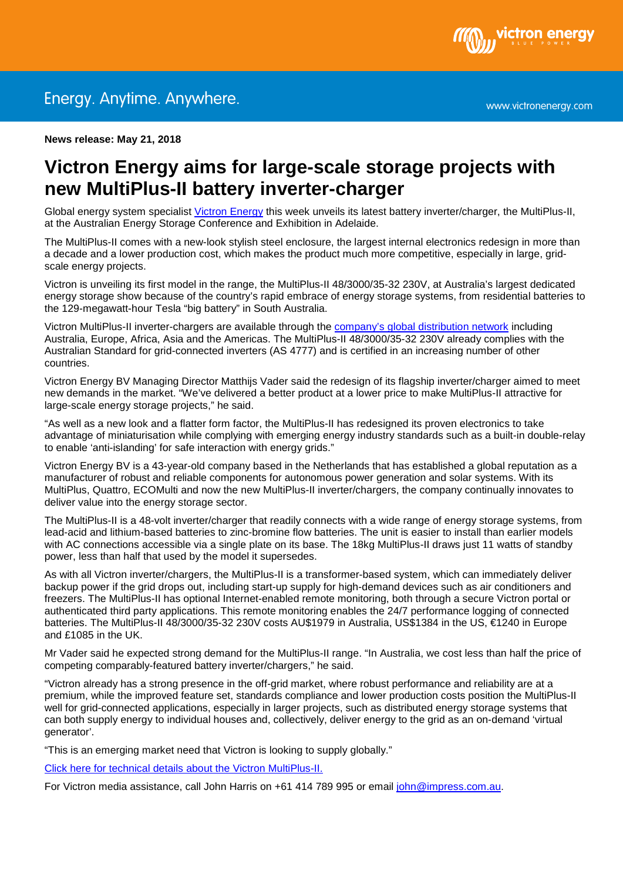

**News release: May 21, 2018** 

## **Victron Energy aims for large-scale storage projects with new MultiPlus-II battery inverter-charger**

Global energy system specialist [Victron Energy](http://www.victronenergy.com/) this week unveils its latest battery inverter/charger, the MultiPlus-II, at the Australian Energy Storage Conference and Exhibition in Adelaide.

The MultiPlus-II comes with a new-look stylish steel enclosure, the largest internal electronics redesign in more than a decade and a lower production cost, which makes the product much more competitive, especially in large, gridscale energy projects.

Victron is unveiling its first model in the range, the MultiPlus-II 48/3000/35-32 230V, at Australia's largest dedicated energy storage show because of the country's rapid embrace of energy storage systems, from residential batteries to the 129-megawatt-hour Tesla "big battery" in South Australia.

Victron MultiPlus-II inverter-chargers are available through the [company's global distribution network](https://www.victronenergy.com/contact) including Australia, Europe, Africa, Asia and the Americas. The MultiPlus-II 48/3000/35-32 230V already complies with the Australian Standard for grid-connected inverters (AS 4777) and is certified in an increasing number of other countries.

Victron Energy BV Managing Director Matthijs Vader said the redesign of its flagship inverter/charger aimed to meet new demands in the market. "We've delivered a better product at a lower price to make MultiPlus-II attractive for large-scale energy storage projects," he said.

"As well as a new look and a flatter form factor, the MultiPlus-II has redesigned its proven electronics to take advantage of miniaturisation while complying with emerging energy industry standards such as a built-in double-relay to enable 'anti-islanding' for safe interaction with energy grids."

Victron Energy BV is a 43-year-old company based in the Netherlands that has established a global reputation as a manufacturer of robust and reliable components for autonomous power generation and solar systems. With its MultiPlus, Quattro, ECOMulti and now the new MultiPlus-II inverter/chargers, the company continually innovates to deliver value into the energy storage sector.

The MultiPlus-II is a 48-volt inverter/charger that readily connects with a wide range of energy storage systems, from lead-acid and lithium-based batteries to zinc-bromine flow batteries. The unit is easier to install than earlier models with AC connections accessible via a single plate on its base. The 18kg MultiPlus-II draws just 11 watts of standby power, less than half that used by the model it supersedes.

As with all Victron inverter/chargers, the MultiPlus-II is a transformer-based system, which can immediately deliver backup power if the grid drops out, including start-up supply for high-demand devices such as air conditioners and freezers. The MultiPlus-II has optional Internet-enabled remote monitoring, both through a secure Victron portal or authenticated third party applications. This remote monitoring enables the 24/7 performance logging of connected batteries. The MultiPlus-II 48/3000/35-32 230V costs AU\$1979 in Australia, US\$1384 in the US, €1240 in Europe and £1085 in the UK.

Mr Vader said he expected strong demand for the MultiPlus-II range. "In Australia, we cost less than half the price of competing comparably-featured battery inverter/chargers," he said.

"Victron already has a strong presence in the off-grid market, where robust performance and reliability are at a premium, while the improved feature set, standards compliance and lower production costs position the MultiPlus-II well for grid-connected applications, especially in larger projects, such as distributed energy storage systems that can both supply energy to individual houses and, collectively, deliver energy to the grid as an on-demand 'virtual generator'.

"This is an emerging market need that Victron is looking to supply globally."

[Click here for technical details about the Victron MultiPlus-II.](https://www.victronenergy.com/inverters-chargers/multiplus-ii) 

For Victron media assistance, call John Harris on +61 414 789 995 or email [john@impress.com.au.](mailto:john@impress.com.au)